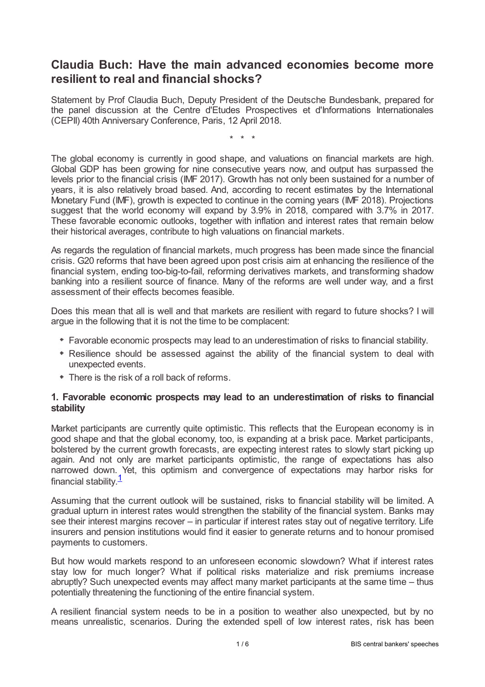# **Claudia Buch: Have the main advanced economies become more resilient to real and financial shocks?**

Statement by Prof Claudia Buch, Deputy President of the Deutsche Bundesbank, prepared for the panel discussion at the Centre d'Etudes Prospectives et d'Informations Internationales (CEPII) 40th Anniversary Conference, Paris, 12 April 2018.

\* \* \*

The global economy is currently in good shape, and valuations on financial markets are high. Global GDP has been growing for nine consecutive years now, and output has surpassed the levels prior to the financial crisis (IMF 2017). Growth has not only been sustained for a number of years, it is also relatively broad based. And, according to recent estimates by the International Monetary Fund (IMF), growth is expected to continue in the coming years (IMF 2018). Projections suggest that the world economy will expand by 3.9% in 2018, compared with 3.7% in 2017. These favorable economic outlooks, together with inflation and interest rates that remain below their historical averages, contribute to high valuations on financial markets.

As regards the regulation of financial markets, much progress has been made since the financial crisis. G20 reforms that have been agreed upon post crisis aim at enhancing the resilience of the financial system, ending too-big-to-fail, reforming derivatives markets, and transforming shadow banking into a resilient source of finance. Many of the reforms are well under way, and a first assessment of their effects becomes feasible.

Does this mean that all is well and that markets are resilient with regard to future shocks? I will argue in the following that it is not the time to be complacent:

- Favorable economic prospects may lead to an underestimation of risks to financial stability.
- Resilience should be assessed against the ability of the financial system to deal with unexpected events.
- There is the risk of a roll back of reforms.

### **1. Favorable economic prospects may lead to an underestimation of risks to financial stability**

Market participants are currently quite optimistic. This reflects that the European economy is in good shape and that the global economy, too, is expanding at a brisk pace. Market participants, bolstered by the current growth forecasts, are expecting interest rates to slowly start picking up again. And not only are market participants optimistic, the range of expectations has also narrowed down. Yet, this optimism and convergence of expectations may harbor risks for financial stability. $\frac{1}{\sqrt{2}}$  $\frac{1}{\sqrt{2}}$  $\frac{1}{\sqrt{2}}$ 

<span id="page-0-0"></span>Assuming that the current outlook will be sustained, risks to financial stability will be limited. A gradual upturn in interest rates would strengthen the stability of the financial system. Banks may see their interest margins recover – in particular if interest rates stay out of negative territory. Life insurers and pension institutions would find it easier to generate returns and to honour promised payments to customers.

But how would markets respond to an unforeseen economic slowdown? What if interest rates stay low for much longer? What if political risks materialize and risk premiums increase abruptly? Such unexpected events may affect many market participants at the same time – thus potentially threatening the functioning of the entire financial system.

A resilient financial system needs to be in a position to weather also unexpected, but by no means unrealistic, scenarios. During the extended spell of low interest rates, risk has been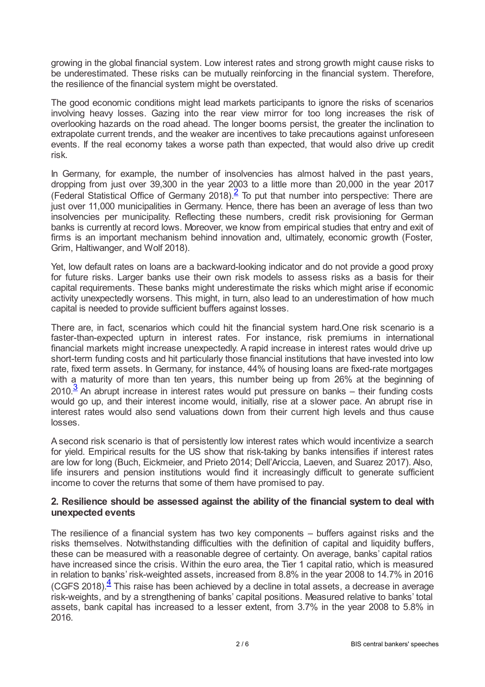growing in the global financial system. Low interest rates and strong growth might cause risks to be underestimated. These risks can be mutually reinforcing in the financial system. Therefore, the resilience of the financial system might be overstated.

The good economic conditions might lead markets participants to ignore the risks of scenarios involving heavy losses. Gazing into the rear view mirror for too long increases the risk of overlooking hazards on the road ahead. The longer booms persist, the greater the inclination to extrapolate current trends, and the weaker are incentives to take precautions against unforeseen events. If the real economy takes a worse path than expected, that would also drive up credit risk.

<span id="page-1-0"></span>In Germany, for example, the number of insolvencies has almost halved in the past years, dropping from just over 39,300 in the year 2003 to a little more than 20,000 in the year 2017 (Federal Statistical Office of Germany [2](#page-4-1)018). $\frac{2}{5}$  To put that number into perspective: There are just over 11,000 municipalities in Germany. Hence, there has been an average of less than two insolvencies per municipality. Reflecting these numbers, credit risk provisioning for German banks is currently at record lows. Moreover, we know from empirical studies that entry and exit of firms is an important mechanism behind innovation and, ultimately, economic growth (Foster, Grim, Haltiwanger, and Wolf 2018).

Yet, low default rates on loans are a backward-looking indicator and do not provide a good proxy for future risks. Larger banks use their own risk models to assess risks as a basis for their capital requirements. These banks might underestimate the risks which might arise if economic activity unexpectedly worsens. This might, in turn, also lead to an underestimation of how much capital is needed to provide sufficient buffers against losses.

There are, in fact, scenarios which could hit the financial system hard.One risk scenario is a faster-than-expected upturn in interest rates. For instance, risk premiums in international financial markets might increase unexpectedly. A rapid increase in interest rates would drive up short-term funding costs and hit particularly those financial institutions that have invested into low rate, fixed term assets. In Germany, for instance, 44% of housing loans are fixed-rate mortgages with a maturity of more than ten years, this number being up from 26% at the beginning of  $2010<sup>3</sup>$  $2010<sup>3</sup>$  $2010<sup>3</sup>$  An abrupt increase in interest rates would put pressure on banks – their funding costs would go up, and their interest income would, initially, rise at a slower pace. An abrupt rise in interest rates would also send valuations down from their current high levels and thus cause losses.

<span id="page-1-1"></span>A second risk scenario is that of persistently low interest rates which would incentivize a search for yield. Empirical results for the US show that risk-taking by banks intensifies if interest rates are low for long (Buch, Eickmeier, and Prieto 2014; Dell'Ariccia, Laeven, and Suarez 2017). Also, life insurers and pension institutions would find it increasingly difficult to generate sufficient income to cover the returns that some of them have promised to pay.

### **2. Resilience should be assessed against the ability of the financial system to deal with unexpected events**

<span id="page-1-2"></span>The resilience of a financial system has two key components – buffers against risks and the risks themselves. Notwithstanding difficulties with the definition of capital and liquidity buffers, these can be measured with a reasonable degree of certainty. On average, banks' capital ratios have increased since the crisis. Within the euro area, the Tier 1 capital ratio, which is measured in relation to banks' risk-weighted assets, increased from 8.8% in the year 2008 to 14.7% in 2016  $(CGFS 2018).$ <sup>[4](#page-5-0)</sup> This raise has been achieved by a decline in total assets, a decrease in average risk-weights, and by a strengthening of banks' capital positions. Measured relative to banks' total assets, bank capital has increased to a lesser extent, from 3.7% in the year 2008 to 5.8% in 2016.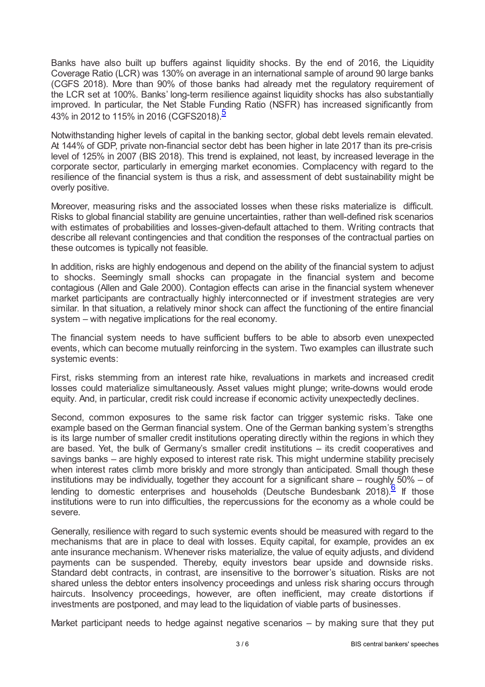Banks have also built up buffers against liquidity shocks. By the end of 2016, the Liquidity Coverage Ratio (LCR) was 130% on average in an international sample of around 90 large banks (CGFS 2018). More than 90% of those banks had already met the regulatory requirement of the LCR set at 100%. Banks' long-term resilience against liquidity shocks has also substantially improved. In particular, the Net Stable Funding Ratio (NSFR) has increased significantly from 43% in 2012 to 11[5](#page-5-1)% in 2016 (CGFS2018).<sup>5</sup>

<span id="page-2-0"></span>Notwithstanding higher levels of capital in the banking sector, global debt levels remain elevated. At 144% of GDP, private non-financial sector debt has been higher in late 2017 than its pre-crisis level of 125% in 2007 (BIS 2018). This trend is explained, not least, by increased leverage in the corporate sector, particularly in emerging market economies. Complacency with regard to the resilience of the financial system is thus a risk, and assessment of debt sustainability might be overly positive.

Moreover, measuring risks and the associated losses when these risks materialize is difficult. Risks to global financial stability are genuine uncertainties, rather than well-defined risk scenarios with estimates of probabilities and losses-given-default attached to them. Writing contracts that describe all relevant contingencies and that condition the responses of the contractual parties on these outcomes is typically not feasible.

In addition, risks are highly endogenous and depend on the ability of the financial system to adjust to shocks. Seemingly small shocks can propagate in the financial system and become contagious (Allen and Gale 2000). Contagion effects can arise in the financial system whenever market participants are contractually highly interconnected or if investment strategies are very similar. In that situation, a relatively minor shock can affect the functioning of the entire financial system – with negative implications for the real economy.

The financial system needs to have sufficient buffers to be able to absorb even unexpected events, which can become mutually reinforcing in the system. Two examples can illustrate such systemic events:

First, risks stemming from an interest rate hike, revaluations in markets and increased credit losses could materialize simultaneously. Asset values might plunge; write-downs would erode equity. And, in particular, credit risk could increase if economic activity unexpectedly declines.

Second, common exposures to the same risk factor can trigger systemic risks. Take one example based on the German financial system. One of the German banking system's strengths is its large number of smaller credit institutions operating directly within the regions in which they are based. Yet, the bulk of Germany's smaller credit institutions – its credit cooperatives and savings banks – are highly exposed to interest rate risk. This might undermine stability precisely when interest rates climb more briskly and more strongly than anticipated. Small though these institutions may be individually, together they account for a significant share – roughly 50% – of lending to domestic enterprises and households (Deutsche Bundesbank 2018).<sup>[6](#page-5-2)</sup> If those institutions were to run into difficulties, the repercussions for the economy as a whole could be severe.

<span id="page-2-1"></span>Generally, resilience with regard to such systemic events should be measured with regard to the mechanisms that are in place to deal with losses. Equity capital, for example, provides an ex ante insurance mechanism. Whenever risks materialize, the value of equity adjusts, and dividend payments can be suspended. Thereby, equity investors bear upside and downside risks. Standard debt contracts, in contrast, are insensitive to the borrower's situation. Risks are not shared unless the debtor enters insolvency proceedings and unless risk sharing occurs through haircuts. Insolvency proceedings, however, are often inefficient, may create distortions if investments are postponed, and may lead to the liquidation of viable parts of businesses.

Market participant needs to hedge against negative scenarios – by making sure that they put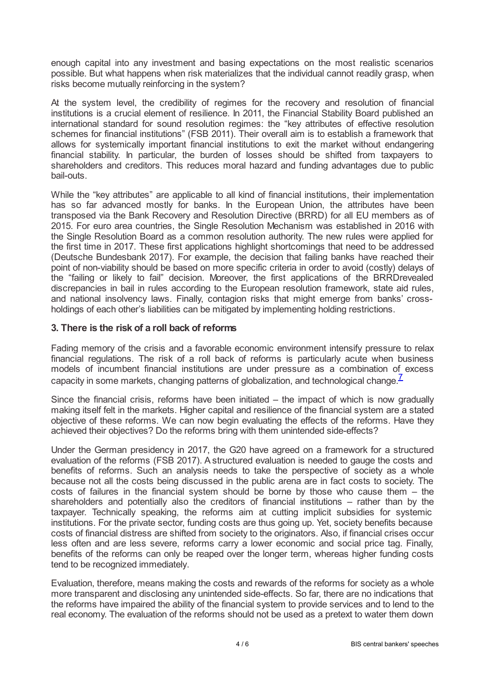enough capital into any investment and basing expectations on the most realistic scenarios possible. But what happens when risk materializes that the individual cannot readily grasp, when risks become mutually reinforcing in the system?

At the system level, the credibility of regimes for the recovery and resolution of financial institutions is a crucial element of resilience. In 2011, the Financial Stability Board published an international standard for sound resolution regimes: the "key attributes of effective resolution schemes for financial institutions" (FSB 2011). Their overall aim is to establish a framework that allows for systemically important financial institutions to exit the market without endangering financial stability. In particular, the burden of losses should be shifted from taxpayers to shareholders and creditors. This reduces moral hazard and funding advantages due to public bail-outs.

While the "key attributes" are applicable to all kind of financial institutions, their implementation has so far advanced mostly for banks. In the European Union, the attributes have been transposed via the Bank Recovery and Resolution Directive (BRRD) for all EU members as of 2015. For euro area countries, the Single Resolution Mechanism was established in 2016 with the Single Resolution Board as a common resolution authority. The new rules were applied for the first time in 2017. These first applications highlight shortcomings that need to be addressed (Deutsche Bundesbank 2017). For example, the decision that failing banks have reached their point of non-viability should be based on more specific criteria in order to avoid (costly) delays of the "failing or likely to fail" decision. Moreover, the first applications of the BRRDrevealed discrepancies in bail in rules according to the European resolution framework, state aid rules, and national insolvency laws. Finally, contagion risks that might emerge from banks' crossholdings of each other's liabilities can be mitigated by implementing holding restrictions.

### **3. There is the risk of a roll back of reforms**

Fading memory of the crisis and a favorable economic environment intensify pressure to relax financial regulations. The risk of a roll back of reforms is particularly acute when business models of incumbent financial institutions are under pressure as a combination of excess capacity in some markets, changing patterns of globalization, and technological change. $^{\mathsf{Z}}$ 

<span id="page-3-0"></span>Since the financial crisis, reforms have been initiated  $-$  the impact of which is now gradually making itself felt in the markets. Higher capital and resilience of the financial system are a stated objective of these reforms. We can now begin evaluating the effects of the reforms. Have they achieved their objectives? Do the reforms bring with them unintended side-effects?

Under the German presidency in 2017, the G20 have agreed on a framework for a structured evaluation of the reforms (FSB 2017). A structured evaluation is needed to gauge the costs and benefits of reforms. Such an analysis needs to take the perspective of society as a whole because not all the costs being discussed in the public arena are in fact costs to society. The costs of failures in the financial system should be borne by those who cause them – the shareholders and potentially also the creditors of financial institutions – rather than by the taxpayer. Technically speaking, the reforms aim at cutting implicit subsidies for systemic institutions. For the private sector, funding costs are thus going up. Yet, society benefits because costs of financial distress are shifted from society to the originators. Also, if financial crises occur less often and are less severe, reforms carry a lower economic and social price tag. Finally, benefits of the reforms can only be reaped over the longer term, whereas higher funding costs tend to be recognized immediately.

Evaluation, therefore, means making the costs and rewards of the reforms for society as a whole more transparent and disclosing any unintended side-effects. So far, there are no indications that the reforms have impaired the ability of the financial system to provide services and to lend to the real economy. The evaluation of the reforms should not be used as a pretext to water them down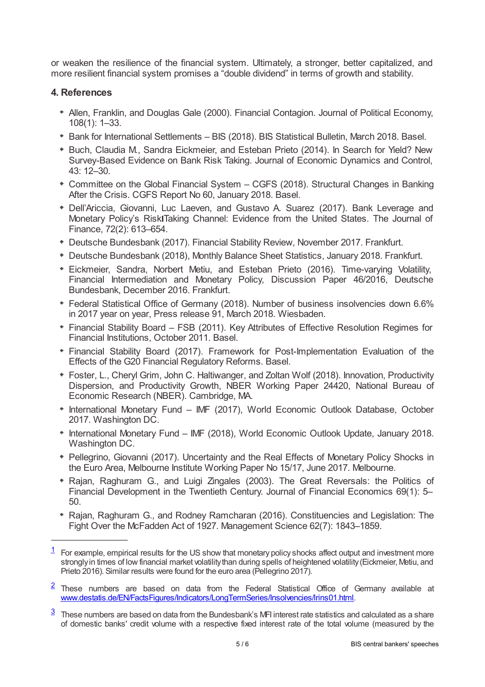or weaken the resilience of the financial system. Ultimately, a stronger, better capitalized, and more resilient financial system promises a "double dividend" in terms of growth and stability.

## **4. References**

- Allen, Franklin, and Douglas Gale (2000). Financial Contagion. Journal of Political Economy, 108(1): 1–33.
- Bank for International Settlements BIS (2018). BIS Statistical Bulletin, March 2018. Basel.
- Buch, Claudia M., Sandra Eickmeier, and Esteban Prieto (2014). In Search for Yield? New Survey-Based Evidence on Bank Risk Taking. Journal of Economic Dynamics and Control, 43: 12–30.
- Committee on the Global Financial System CGFS (2018). Structural Changes in Banking After the Crisis. CGFS Report No 60, January 2018. Basel.
- Dell'Ariccia, Giovanni, Luc Laeven, and Gustavo A. Suarez (2017). Bank Leverage and Monetary Policy's Risk Taking Channel: Evidence from the United States. The Journal of Finance, 72(2): 613–654.
- Deutsche Bundesbank (2017). Financial Stability Review, November 2017. Frankfurt.
- Deutsche Bundesbank (2018), Monthly Balance Sheet Statistics, January 2018. Frankfurt.
- Eickmeier, Sandra, Norbert Metiu, and Esteban Prieto (2016). Time-varying Volatility, Financial Intermediation and Monetary Policy, Discussion Paper 46/2016, Deutsche Bundesbank, December 2016. Frankfurt.
- Federal Statistical Office of Germany (2018). Number of business insolvencies down 6.6% in 2017 year on year, Press release 91, March 2018. Wiesbaden.
- Financial Stability Board FSB (2011). Key Attributes of Effective Resolution Regimes for Financial Institutions, October 2011. Basel.
- Financial Stability Board (2017). Framework for Post-Implementation Evaluation of the Effects of the G20 Financial Regulatory Reforms. Basel.
- Foster, L., Cheryl Grim, John C. Haltiwanger, and Zoltan Wolf (2018). Innovation, Productivity Dispersion, and Productivity Growth, NBER Working Paper 24420, National Bureau of Economic Research (NBER). Cambridge, MA.
- International Monetary Fund IMF (2017), World Economic Outlook Database, October 2017. Washington DC.
- International Monetary Fund IMF (2018), World Economic Outlook Update, January 2018. Washington DC.
- Pellegrino, Giovanni (2017). Uncertainty and the Real Effects of Monetary Policy Shocks in the Euro Area, Melbourne Institute Working Paper No 15/17, June 2017. Melbourne.
- Rajan, Raghuram G., and Luigi Zingales (2003). The Great Reversals: the Politics of Financial Development in the Twentieth Century. Journal of Financial Economics 69(1): 5– 50.
- Rajan, Raghuram G., and Rodney Ramcharan (2016). Constituencies and Legislation: The Fight Over the McFadden Act of 1927. Management Science 62(7): 1843–1859.

<span id="page-4-0"></span> $1$  For example, empirical results for the US show that monetary policy shocks affect output and investment more strongly in times of low financial market volatility than during spells of heightened volatility (Eickmeier, Metiu, and Prieto 2016). Similar results were found for the euro area (Pellegrino 2017).

<span id="page-4-1"></span> $2$  These numbers are based on data from the Federal Statistical Office of Germany available at [www.destatis.de/EN/FactsFigures/Indicators/LongTermSeries/Insolvencies/lrins01.html.](www.destatis.de/EN/FactsFigures/Indicators/LongTermSeries/%0bInsolvencies/lrins01.html)

<span id="page-4-2"></span> $3$  These numbers are based on data from the Bundesbank's MFI interest rate statistics and calculated as a share of domestic banks' credit volume with a respective fixed interest rate of the total volume (measured by the